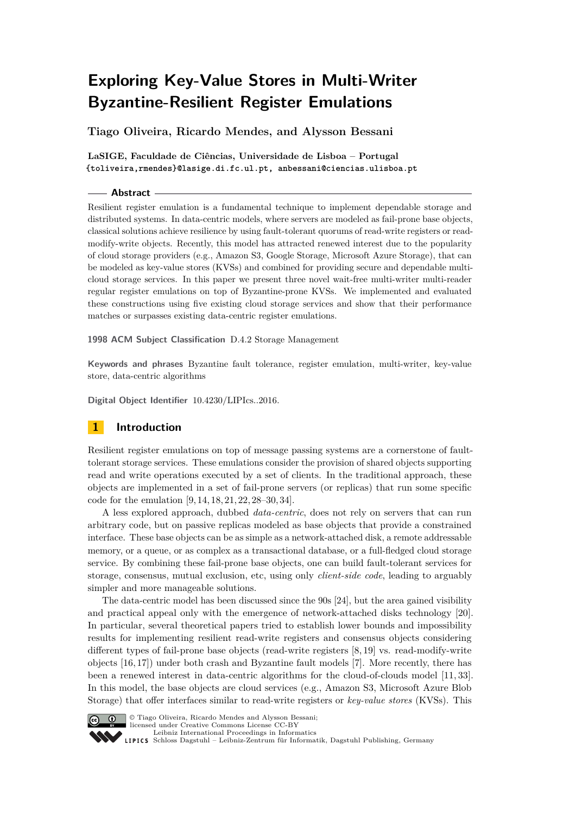# **Exploring Key-Value Stores in Multi-Writer Byzantine-Resilient Register Emulations**

**Tiago Oliveira, Ricardo Mendes, and Alysson Bessani**

**LaSIGE, Faculdade de Ciências, Universidade de Lisboa – Portugal {toliveira,rmendes}@lasige.di.fc.ul.pt, anbessani@ciencias.ulisboa.pt**

### **Abstract**

Resilient register emulation is a fundamental technique to implement dependable storage and distributed systems. In data-centric models, where servers are modeled as fail-prone base objects, classical solutions achieve resilience by using fault-tolerant quorums of read-write registers or readmodify-write objects. Recently, this model has attracted renewed interest due to the popularity of cloud storage providers (e.g., Amazon S3, Google Storage, Microsoft Azure Storage), that can be modeled as key-value stores (KVSs) and combined for providing secure and dependable multicloud storage services. In this paper we present three novel wait-free multi-writer multi-reader regular register emulations on top of Byzantine-prone KVSs. We implemented and evaluated these constructions using five existing cloud storage services and show that their performance matches or surpasses existing data-centric register emulations.

**1998 ACM Subject Classification** D.4.2 Storage Management

**Keywords and phrases** Byzantine fault tolerance, register emulation, multi-writer, key-value store, data-centric algorithms

**Digital Object Identifier** [10.4230/LIPIcs..2016.](http://dx.doi.org/10.4230/LIPIcs..2016.)

# **1 Introduction**

Resilient register emulations on top of message passing systems are a cornerstone of faulttolerant storage services. These emulations consider the provision of shared objects supporting read and write operations executed by a set of clients. In the traditional approach, these objects are implemented in a set of fail-prone servers (or replicas) that run some specific code for the emulation [\[9,](#page-15-0) [14,](#page-15-1) [18,](#page-15-2) [21,](#page-15-3) [22,](#page-15-4) [28](#page-15-5)[–30,](#page-15-6) [34\]](#page-15-7).

A less explored approach, dubbed *data-centric*, does not rely on servers that can run arbitrary code, but on passive replicas modeled as base objects that provide a constrained interface. These base objects can be as simple as a network-attached disk, a remote addressable memory, or a queue, or as complex as a transactional database, or a full-fledged cloud storage service. By combining these fail-prone base objects, one can build fault-tolerant services for storage, consensus, mutual exclusion, etc, using only *client-side code*, leading to arguably simpler and more manageable solutions.

The data-centric model has been discussed since the 90s [\[24\]](#page-15-8), but the area gained visibility and practical appeal only with the emergence of network-attached disks technology [\[20\]](#page-15-9). In particular, several theoretical papers tried to establish lower bounds and impossibility results for implementing resilient read-write registers and consensus objects considering different types of fail-prone base objects (read-write registers  $[8, 19]$  $[8, 19]$  vs. read-modify-write objects [\[16,](#page-15-11) [17\]](#page-15-12)) under both crash and Byzantine fault models [\[7\]](#page-14-1). More recently, there has been a renewed interest in data-centric algorithms for the cloud-of-clouds model [\[11,](#page-15-13) [33\]](#page-15-14). In this model, the base objects are cloud services (e.g., Amazon S3, Microsoft Azure Blob Storage) that offer interfaces similar to read-write registers or *key-value stores* (KVSs). This



 $\boxed{\text{c}}$   $\boxed{0}$   $\boxed{0}$  Tiago Oliveira, Ricardo Mendes and Alysson Bessani: licensed under Creative Commons License CC-BY [Leibniz International Proceedings in Informatics](http://www.dagstuhl.de/lipics/)

[Schloss Dagstuhl – Leibniz-Zentrum für Informatik, Dagstuhl Publishing, Germany](http://www.dagstuhl.de)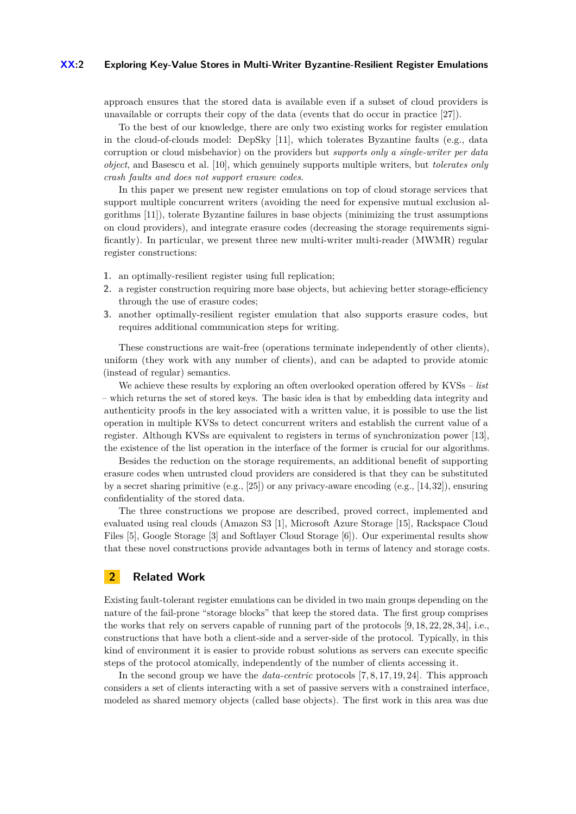#### **XX:2 Exploring Key-Value Stores in Multi-Writer Byzantine-Resilient Register Emulations**

approach ensures that the stored data is available even if a subset of cloud providers is unavailable or corrupts their copy of the data (events that do occur in practice [\[27\]](#page-15-15)).

To the best of our knowledge, there are only two existing works for register emulation in the cloud-of-clouds model: DepSky [\[11\]](#page-15-13), which tolerates Byzantine faults (e.g., data corruption or cloud misbehavior) on the providers but *supports only a single-writer per data object*, and Basescu et al. [\[10\]](#page-15-16), which genuinely supports multiple writers, but *tolerates only crash faults and does not support erasure codes*.

In this paper we present new register emulations on top of cloud storage services that support multiple concurrent writers (avoiding the need for expensive mutual exclusion algorithms [\[11\]](#page-15-13)), tolerate Byzantine failures in base objects (minimizing the trust assumptions on cloud providers), and integrate erasure codes (decreasing the storage requirements significantly). In particular, we present three new multi-writer multi-reader (MWMR) regular register constructions:

- **1.** an optimally-resilient register using full replication;
- **2.** a register construction requiring more base objects, but achieving better storage-efficiency through the use of erasure codes;
- **3.** another optimally-resilient register emulation that also supports erasure codes, but requires additional communication steps for writing.

These constructions are wait-free (operations terminate independently of other clients), uniform (they work with any number of clients), and can be adapted to provide atomic (instead of regular) semantics.

We achieve these results by exploring an often overlooked operation offered by KVSs – *list* – which returns the set of stored keys. The basic idea is that by embedding data integrity and authenticity proofs in the key associated with a written value, it is possible to use the list operation in multiple KVSs to detect concurrent writers and establish the current value of a register. Although KVSs are equivalent to registers in terms of synchronization power [\[13\]](#page-15-17), the existence of the list operation in the interface of the former is crucial for our algorithms.

Besides the reduction on the storage requirements, an additional benefit of supporting erasure codes when untrusted cloud providers are considered is that they can be substituted by a secret sharing primitive (e.g., [\[25\]](#page-15-18)) or any privacy-aware encoding (e.g., [\[14,](#page-15-1)[32\]](#page-15-19)), ensuring confidentiality of the stored data.

The three constructions we propose are described, proved correct, implemented and evaluated using real clouds (Amazon S3 [\[1\]](#page-14-2), Microsoft Azure Storage [\[15\]](#page-15-20), Rackspace Cloud Files [\[5\]](#page-14-3), Google Storage [\[3\]](#page-14-4) and Softlayer Cloud Storage [\[6\]](#page-14-5)). Our experimental results show that these novel constructions provide advantages both in terms of latency and storage costs.

# **2 Related Work**

Existing fault-tolerant register emulations can be divided in two main groups depending on the nature of the fail-prone "storage blocks" that keep the stored data. The first group comprises the works that rely on servers capable of running part of the protocols [\[9,](#page-15-0) [18,](#page-15-2) [22,](#page-15-4) [28,](#page-15-5) [34\]](#page-15-7), i.e., constructions that have both a client-side and a server-side of the protocol. Typically, in this kind of environment it is easier to provide robust solutions as servers can execute specific steps of the protocol atomically, independently of the number of clients accessing it.

In the second group we have the *data-centric* protocols [\[7,](#page-14-1) [8,](#page-14-0) [17,](#page-15-12) [19,](#page-15-10) [24\]](#page-15-8). This approach considers a set of clients interacting with a set of passive servers with a constrained interface, modeled as shared memory objects (called base objects). The first work in this area was due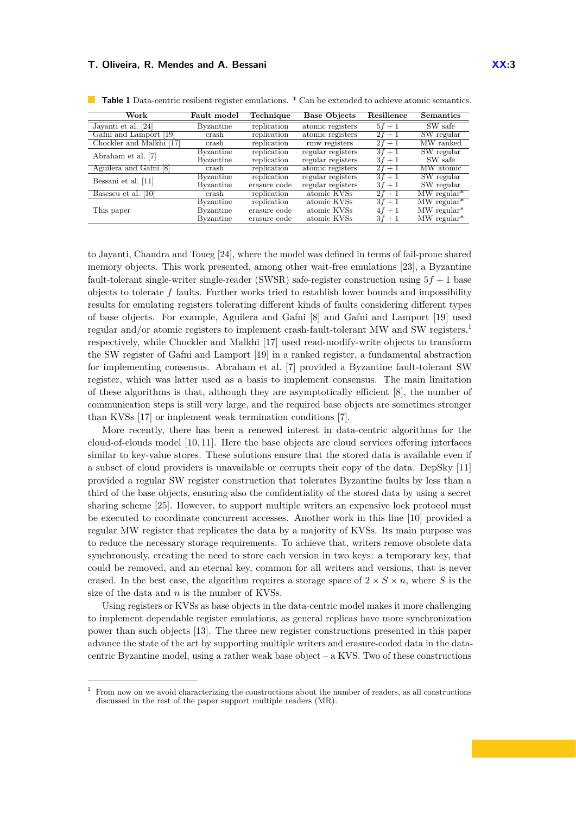| Work                      | Fault model      | Technique    | <b>Base Objects</b> | Resilience | <b>Semantics</b>          |
|---------------------------|------------------|--------------|---------------------|------------|---------------------------|
| Javanti et al. [24]       | Byzantine        | replication  | atomic registers    | $5f+1$     | $\overline{\rm SW}$ safe  |
| Gafni and Lamport<br>[19] | crash            | replication  | atomic registers    | $2f+1$     | SW regular                |
| Chockler and Malkhi [17]  | crash            | replication  | rmw registers       | $2f + 1$   | MW ranked                 |
| Abraham et al. [7]        | <b>Byzantine</b> | replication  | regular registers   | $3f+1$     | SW regular                |
|                           | Byzantine        | replication  | regular registers   | $3f + 1$   | SW safe                   |
| Aguilera and Gafni [8]    | crash            | replication  | atomic registers    | $2f + 1$   | MW atomic                 |
| Bessani et al. [11]       | Byzantine        | replication  | regular registers   | $3f + 1$   | SW regular                |
|                           | Byzantine        | erasure code | regular registers   | $3f + 1$   | SW regular                |
| [10]<br>Basescu et al.    | crash            | replication  | atomic KVSs         | $2f + 1$   | $MW$ regular <sup>*</sup> |
| This paper                | <b>Byzantine</b> | replication  | atomic KVSs         | $3f+1$     | $MW$ regular <sup>*</sup> |
|                           | Byzantine        | erasure code | atomic KVSs         | $4f + 1$   | $MW$ regular <sup>*</sup> |
|                           | Byzantine        | erasure code | atomic KVSs         | $3f+1$     | $MW$ regular <sup>*</sup> |

<span id="page-2-1"></span>**Table 1** Data-centric resilient register emulations. \* Can be extended to achieve atomic semantics.

to Jayanti, Chandra and Toueg [\[24\]](#page-15-8), where the model was defined in terms of fail-prone shared memory objects. This work presented, among other wait-free emulations [\[23\]](#page-15-21), a Byzantine fault-tolerant single-writer single-reader (SWSR) safe-register construction using  $5f + 1$  base objects to tolerate *f* faults. Further works tried to establish lower bounds and impossibility results for emulating registers tolerating different kinds of faults considering different types of base objects. For example, Aguilera and Gafni [\[8\]](#page-14-0) and Gafni and Lamport [\[19\]](#page-15-10) used regular and/or atomic registers to implement crash-fault-tolerant MW and SW registers,[1](#page-2-0) respectively, while Chockler and Malkhi [\[17\]](#page-15-12) used read-modify-write objects to transform the SW register of Gafni and Lamport [\[19\]](#page-15-10) in a ranked register, a fundamental abstraction for implementing consensus. Abraham et al. [\[7\]](#page-14-1) provided a Byzantine fault-tolerant SW register, which was latter used as a basis to implement consensus. The main limitation of these algorithms is that, although they are asymptotically efficient [\[8\]](#page-14-0), the number of communication steps is still very large, and the required base objects are sometimes stronger than KVSs [\[17\]](#page-15-12) or implement weak termination conditions [\[7\]](#page-14-1).

More recently, there has been a renewed interest in data-centric algorithms for the cloud-of-clouds model  $[10, 11]$  $[10, 11]$ . Here the base objects are cloud services offering interfaces similar to key-value stores. These solutions ensure that the stored data is available even if a subset of cloud providers is unavailable or corrupts their copy of the data. DepSky [\[11\]](#page-15-13) provided a regular SW register construction that tolerates Byzantine faults by less than a third of the base objects, ensuring also the confidentiality of the stored data by using a secret sharing scheme [\[25\]](#page-15-18). However, to support multiple writers an expensive lock protocol must be executed to coordinate concurrent accesses. Another work in this line [\[10\]](#page-15-16) provided a regular MW register that replicates the data by a majority of KVSs. Its main purpose was to reduce the necessary storage requirements. To achieve that, writers remove obsolete data synchronously, creating the need to store each version in two keys: a temporary key, that could be removed, and an eternal key, common for all writers and versions, that is never erased. In the best case, the algorithm requires a storage space of  $2 \times S \times n$ , where *S* is the size of the data and *n* is the number of KVSs.

Using registers or KVSs as base objects in the data-centric model makes it more challenging to implement dependable register emulations, as general replicas have more synchronization power than such objects [\[13\]](#page-15-17). The three new register constructions presented in this paper advance the state of the art by supporting multiple writers and erasure-coded data in the datacentric Byzantine model, using a rather weak base object – a KVS. Two of these constructions

<span id="page-2-0"></span><sup>1</sup> From now on we avoid characterizing the constructions about the number of readers, as all constructions discussed in the rest of the paper support multiple readers (MR).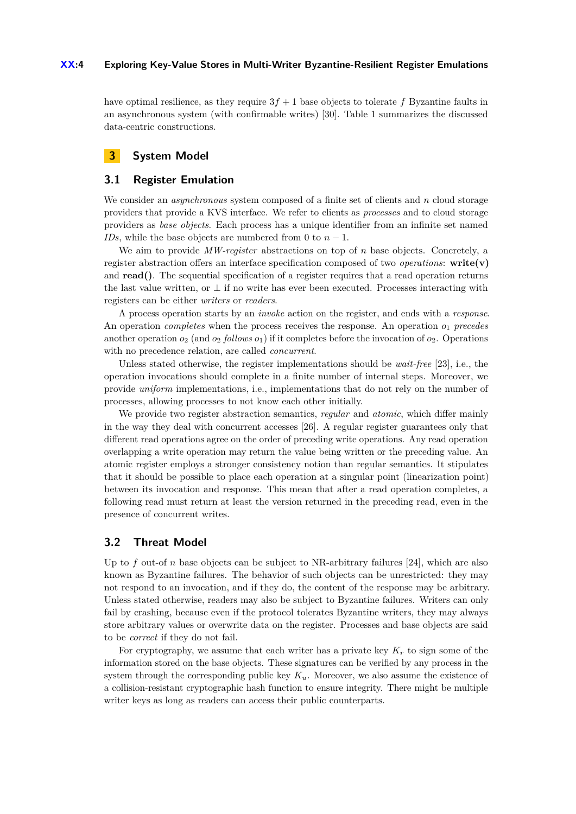#### **XX:4 Exploring Key-Value Stores in Multi-Writer Byzantine-Resilient Register Emulations**

have optimal resilience, as they require  $3f + 1$  base objects to tolerate f Byzantine faults in an asynchronous system (with confirmable writes) [\[30\]](#page-15-6). Table [1](#page-2-1) summarizes the discussed data-centric constructions.

# **3 System Model**

## **3.1 Register Emulation**

We consider an *asynchronous* system composed of a finite set of clients and *n* cloud storage providers that provide a KVS interface. We refer to clients as *processes* and to cloud storage providers as *base objects*. Each process has a unique identifier from an infinite set named *IDs*, while the base objects are numbered from 0 to  $n - 1$ .

We aim to provide *MW-register* abstractions on top of *n* base objects. Concretely, a register abstraction offers an interface specification composed of two *operations*:  $\text{write}(v)$ and **read()**. The sequential specification of a register requires that a read operation returns the last value written, or  $\perp$  if no write has ever been executed. Processes interacting with registers can be either *writers* or *readers*.

A process operation starts by an *invoke* action on the register, and ends with a *response*. An operation *completes* when the process receives the response. An operation  $o_1$  precedes another operation  $o_2$  (and  $o_2$  *follows*  $o_1$ ) if it completes before the invocation of  $o_2$ . Operations with no precedence relation, are called *concurrent*.

Unless stated otherwise, the register implementations should be *wait-free* [\[23\]](#page-15-21), i.e., the operation invocations should complete in a finite number of internal steps. Moreover, we provide *uniform* implementations, i.e., implementations that do not rely on the number of processes, allowing processes to not know each other initially.

We provide two register abstraction semantics, *regular* and *atomic*, which differ mainly in the way they deal with concurrent accesses [\[26\]](#page-15-22). A regular register guarantees only that different read operations agree on the order of preceding write operations. Any read operation overlapping a write operation may return the value being written or the preceding value. An atomic register employs a stronger consistency notion than regular semantics. It stipulates that it should be possible to place each operation at a singular point (linearization point) between its invocation and response. This mean that after a read operation completes, a following read must return at least the version returned in the preceding read, even in the presence of concurrent writes.

## **3.2 Threat Model**

Up to  $f$  out-of  $n$  base objects can be subject to NR-arbitrary failures [\[24\]](#page-15-8), which are also known as Byzantine failures. The behavior of such objects can be unrestricted: they may not respond to an invocation, and if they do, the content of the response may be arbitrary. Unless stated otherwise, readers may also be subject to Byzantine failures. Writers can only fail by crashing, because even if the protocol tolerates Byzantine writers, they may always store arbitrary values or overwrite data on the register. Processes and base objects are said to be *correct* if they do not fail.

For cryptography, we assume that each writer has a private key  $K_r$  to sign some of the information stored on the base objects. These signatures can be verified by any process in the system through the corresponding public key  $K_u$ . Moreover, we also assume the existence of a collision-resistant cryptographic hash function to ensure integrity. There might be multiple writer keys as long as readers can access their public counterparts.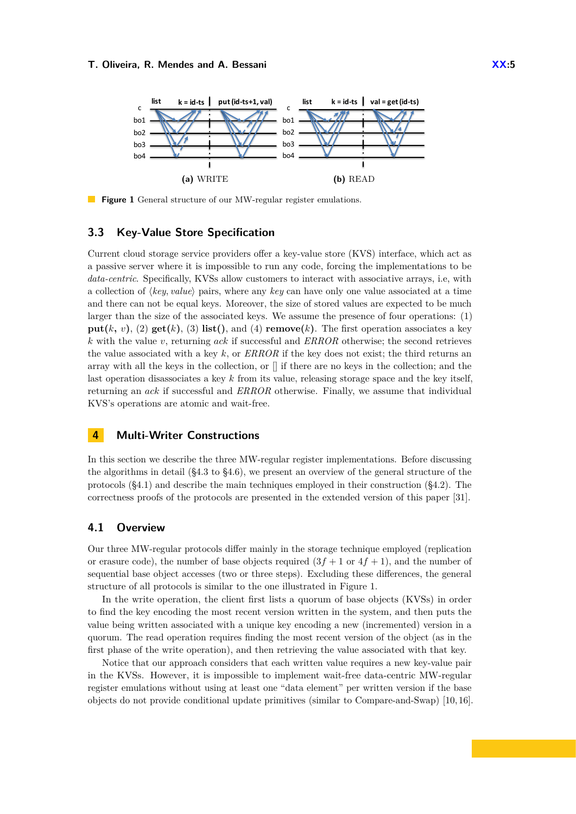<span id="page-4-1"></span>

**Figure 1** General structure of our MW-regular register emulations.

#### **3.3 Key-Value Store Specification**

Current cloud storage service providers offer a key-value store (KVS) interface, which act as a passive server where it is impossible to run any code, forcing the implementations to be *data-centric*. Specifically, KVSs allow customers to interact with associative arrays, i.e, with a collection of  $\langle key, value \rangle$  pairs, where any  $key$  can have only one value associated at a time and there can not be equal keys. Moreover, the size of stored values are expected to be much larger than the size of the associated keys. We assume the presence of four operations: (1) **put(***k*, *v*), (2) **get(***k*), (3) **list(**), and (4) **remove(***k*). The first operation associates a key *k* with the value *v*, returning *ack* if successful and *ERROR* otherwise; the second retrieves the value associated with a key *k*, or *ERROR* if the key does not exist; the third returns an array with all the keys in the collection, or [] if there are no keys in the collection; and the last operation disassociates a key *k* from its value, releasing storage space and the key itself, returning an *ack* if successful and *ERROR* otherwise. Finally, we assume that individual KVS's operations are atomic and wait-free.

## <span id="page-4-2"></span>**4 Multi-Writer Constructions**

In this section we describe the three MW-regular register implementations. Before discussing the algorithms in detail ([§4.3](#page-6-0) to [§4.6\)](#page-9-0), we present an overview of the general structure of the protocols  $(\S4.1)$  and describe the main techniques employed in their construction  $(\S4.2)$ . The correctness proofs of the protocols are presented in the extended version of this paper [\[31\]](#page-15-23).

## <span id="page-4-0"></span>**4.1 Overview**

Our three MW-regular protocols differ mainly in the storage technique employed (replication or erasure code), the number of base objects required  $(3f + 1)$  or  $4f + 1$ , and the number of sequential base object accesses (two or three steps). Excluding these differences, the general structure of all protocols is similar to the one illustrated in Figure [1.](#page-4-1)

In the write operation, the client first lists a quorum of base objects (KVSs) in order to find the key encoding the most recent version written in the system, and then puts the value being written associated with a unique key encoding a new (incremented) version in a quorum. The read operation requires finding the most recent version of the object (as in the first phase of the write operation), and then retrieving the value associated with that key.

Notice that our approach considers that each written value requires a new key-value pair in the KVSs. However, it is impossible to implement wait-free data-centric MW-regular register emulations without using at least one "data element" per written version if the base objects do not provide conditional update primitives (similar to Compare-and-Swap) [\[10,](#page-15-16) [16\]](#page-15-11).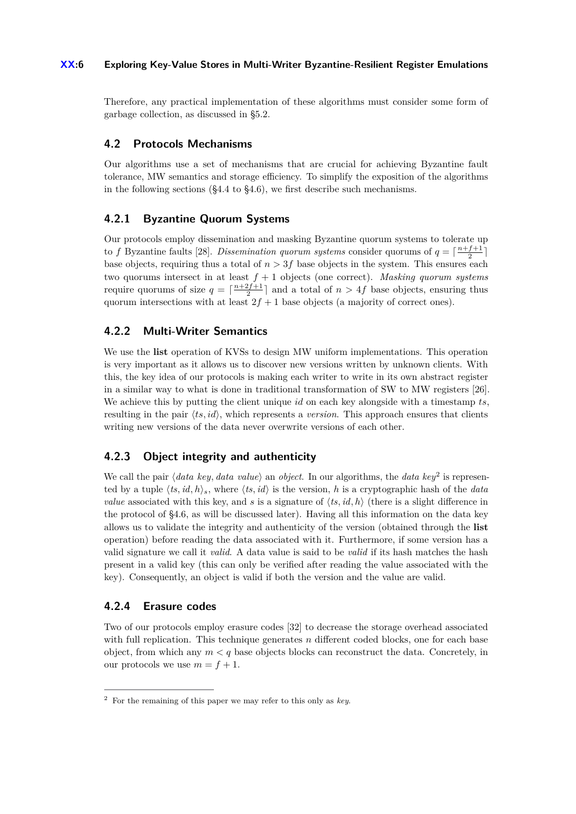## **XX:6 Exploring Key-Value Stores in Multi-Writer Byzantine-Resilient Register Emulations**

Therefore, any practical implementation of these algorithms must consider some form of garbage collection, as discussed in [§5.2.](#page-10-0)

# <span id="page-5-0"></span>**4.2 Protocols Mechanisms**

Our algorithms use a set of mechanisms that are crucial for achieving Byzantine fault tolerance, MW semantics and storage efficiency. To simplify the exposition of the algorithms in the following sections ([§4.4](#page-6-1) to [§4.6\)](#page-9-0), we first describe such mechanisms.

# **4.2.1 Byzantine Quorum Systems**

Our protocols employ dissemination and masking Byzantine quorum systems to tolerate up to *f* Byzantine faults [\[28\]](#page-15-5). *Dissemination quorum systems* consider quorums of  $q = \lceil \frac{n+f+1}{2} \rceil$ base objects, requiring thus a total of  $n > 3f$  base objects in the system. This ensures each two quorums intersect in at least *f* + 1 objects (one correct). *Masking quorum systems* require quorums of size  $q = \lceil \frac{n+2f+1}{2} \rceil$  and a total of  $n > 4f$  base objects, ensuring thus quorum intersections with at least  $2f + 1$  base objects (a majority of correct ones).

# **4.2.2 Multi-Writer Semantics**

We use the **list** operation of KVSs to design MW uniform implementations. This operation is very important as it allows us to discover new versions written by unknown clients. With this, the key idea of our protocols is making each writer to write in its own abstract register in a similar way to what is done in traditional transformation of SW to MW registers [\[26\]](#page-15-22). We achieve this by putting the client unique *id* on each key alongside with a timestamp *ts*, resulting in the pair  $\langle ts, id \rangle$ , which represents a *version*. This approach ensures that clients writing new versions of the data never overwrite versions of each other.

# **4.2.3 Object integrity and authenticity**

We call the pair  $\langle data \; key, data \; value \rangle$  an *object*. In our algorithms, the *data key*<sup>[2](#page-5-1)</sup> is represented by a tuple  $\langle ts, id, h \rangle_s$ , where  $\langle ts, id \rangle$  is the version, *h* is a cryptographic hash of the *data value* associated with this key, and *s* is a signature of  $\langle ts, id, h \rangle$  (there is a slight difference in the protocol of [§4.6,](#page-9-0) as will be discussed later). Having all this information on the data key allows us to validate the integrity and authenticity of the version (obtained through the **list** operation) before reading the data associated with it. Furthermore, if some version has a valid signature we call it *valid*. A data value is said to be *valid* if its hash matches the hash present in a valid key (this can only be verified after reading the value associated with the key). Consequently, an object is valid if both the version and the value are valid.

# **4.2.4 Erasure codes**

Two of our protocols employ erasure codes [\[32\]](#page-15-19) to decrease the storage overhead associated with full replication. This technique generates  $n$  different coded blocks, one for each base object, from which any  $m < q$  base objects blocks can reconstruct the data. Concretely, in our protocols we use  $m = f + 1$ .

<span id="page-5-1"></span><sup>2</sup> For the remaining of this paper we may refer to this only as *key*.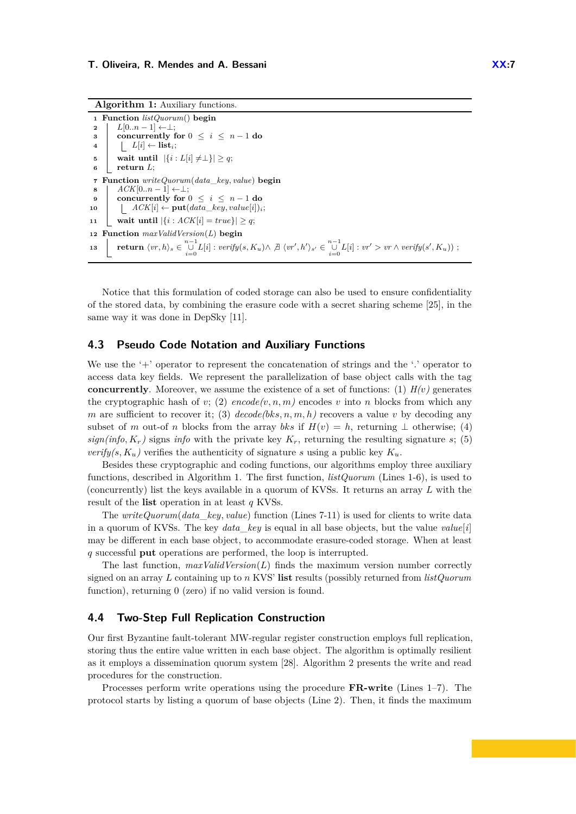**Algorithm 1:** Auxiliary functions.

```
1 Function listQuorum() begin
 2 L[0..n-1] \leftarrow \perp;<br>2 concurrently
 3 concurrently for 0 \leq i \leq n-1 do
              \begin{bmatrix} L[i] \leftarrow \textbf{list}_i; \end{bmatrix}5 wait until |\{i : L[i] \neq \perp\}| \geq q;<br>6 return L:
           return L;
 7 Function writeQuorum(data_key, value) begin
 8 \begin{bmatrix} ACK[0..n-1] \leftarrow \perp; \\ 0 & \text{concurrently for (} \end{bmatrix}9 concurrently for 0 \leq i \leq n-1 do<br>10 i ACK[i] \leftarrow \textbf{put}(data \; key, value[i])\vert ACK[i] ← put(data_key, value[i])<sub>i</sub>;
11 wait until |\{i : ACK[i] = true\}| \ge q;12 Function maxValidVersion(L) begin
13 \quad \left[ \quad \textbf{return } \langle vr, h \rangle_s \in \bigcup_{i=0}^{n-1} L[i] : verify(s, K_u) \wedge \not\exists \; \langle vr', h' \rangle_{s'} \in \bigcup_{i=0}^{n-1} L[i] : vr' > vr \wedge verify(s', K_u)) \; ;
```
Notice that this formulation of coded storage can also be used to ensure confidentiality of the stored data, by combining the erasure code with a secret sharing scheme [\[25\]](#page-15-18), in the same way it was done in DepSky [\[11\]](#page-15-13).

#### <span id="page-6-0"></span>**4.3 Pseudo Code Notation and Auxiliary Functions**

We use the '<sup>+</sup>' operator to represent the concatenation of strings and the '<sup>'</sup> operator to access data key fields. We represent the parallelization of base object calls with the tag **concurrently**. Moreover, we assume the existence of a set of functions: (1)  $H(v)$  generates the cryptographic hash of *v*; (2)  $encode(v, n, m)$  encodes *v* into *n* blocks from which any *m* are sufficient to recover it; (3)  $decode(bks, n, m, h)$  recovers a value *v* by decoding any subset of *m* out-of *n* blocks from the array *bks* if  $H(v) = h$ , returning  $\perp$  otherwise; (4)  $sign(info, K_r)$  signs *info* with the private key  $K_r$ , returning the resulting signature *s*; (5) *verify(s, K<sub>u</sub>*) verifies the authenticity of signature *s* using a public key  $K_u$ .

Besides these cryptographic and coding functions, our algorithms employ three auxiliary functions, described in Algorithm [1.](#page-6-2) The first function, *listQuorum* (Lines 1-6), is used to (concurrently) list the keys available in a quorum of KVSs. It returns an array *L* with the result of the **list** operation in at least *q* KVSs.

The *writeQuorum*(*data*\_*key, value*) function (Lines 7-11) is used for clients to write data in a quorum of KVSs. The key *data* key is equal in all base objects, but the value *value*[ $i$ ] may be different in each base object, to accommodate erasure-coded storage. When at least *q* successful **put** operations are performed, the loop is interrupted.

The last function, *maxValidVersion*(*L*) finds the maximum version number correctly signed on an array *L* containing up to *n* KVS' **list** results (possibly returned from *listQuorum* function), returning 0 (zero) if no valid version is found.

## <span id="page-6-1"></span>**4.4 Two-Step Full Replication Construction**

Our first Byzantine fault-tolerant MW-regular register construction employs full replication, storing thus the entire value written in each base object. The algorithm is optimally resilient as it employs a dissemination quorum system [\[28\]](#page-15-5). Algorithm [2](#page-7-0) presents the write and read procedures for the construction.

Processes perform write operations using the procedure **FR-write** (Lines 1–7). The protocol starts by listing a quorum of base objects (Line 2). Then, it finds the maximum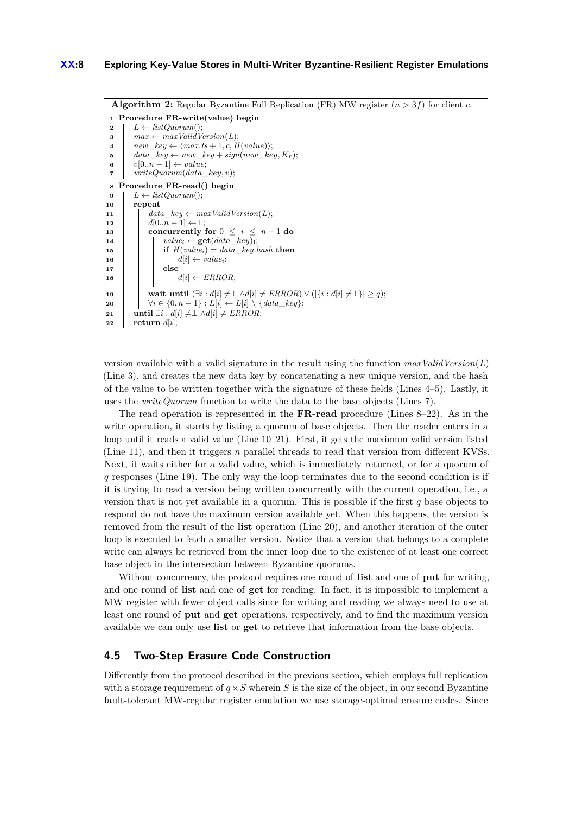```
Algorithm 2: Regular Byzantine Full Replication (FR) MW register (n > 3f) for client c.
  1 Procedure FR-write(value) begin
  2 L \leftarrow listQuorum();<br>2 max \leftarrow maxValidV3 max \leftarrow maxValidVersion(L);<br>4 new \leftarrow \langle max.ts + 1, c, H \rangle4 \begin{cases} new\_key \leftarrow \langle max.ts + 1, c, H(value) \rangle; \\ data \; keu \leftarrow new\_keu + sign(new\_kev) \end{cases}5 \begin{cases} \n\frac{data\_key \leftarrow new\_key + \text{sign}(new\_key, K_r);}{v[0..n-1] \leftarrow value:} \n\end{cases}v[0..n-1] \leftarrow value;7 writeQuorum(data_key, v);
  8 Procedure FR-read() begin
9 L \leftarrow listQuorum();<br>10 repeat
             10 repeat
11 ddta\_key \leftarrow maxValidVersion(L);<br>
12 d[0..n-1] \leftarrow \perp;12 \begin{bmatrix} d[0..n-1] \leftarrow \perp; \\ \text{concurrently} \end{bmatrix}13 concurrently for 0 \leq i \leq n-1 do<br>14 c concurrently for 0 \leq i \leq n-1 do
14 if H(value_i \leftarrow \textbf{get}(data\_key)_i;<br>
if H(value_i) = data\_key.16 H(value_i) = data\_key.hash then
16 d[i] \leftarrow value<sub>i</sub>;<br>17 else
                             17 else
18 \begin{array}{|c|c|c|c|c|} \hline \end{array} \begin{array}{|c|c|c|c|c|} \hline \end{array} d[i] \leftarrow ERROR;
19 wait until (\exists i : d[i] \neq \bot \land d[i] \neq ERROR) \lor (\{\{i : d[i] \neq \bot\}] \geq q);<br>
\forall i \in \{0, n-1\} : L[i] \leftarrow L[i] \setminus \{data \; \; \text{ker}\}.20 \downarrow \forall i \in \{0, n-1\} : L[i] \leftarrow L[i] \setminus \{data\_key\};<br>
21 \downarrow until \exists i : d[i] \neq \perp \wedge d[i] \neq ERROR;21 until \exists i : d[i] \neq \bot \land d[i] \neq ERROR;<br>22 return d[i];
             \textbf{return } d[i];
```
version available with a valid signature in the result using the function  $maxValidVersion(L)$ (Line 3), and creates the new data key by concatenating a new unique version, and the hash of the value to be written together with the signature of these fields (Lines 4–5). Lastly, it uses the *writeQuorum* function to write the data to the base objects (Lines 7).

The read operation is represented in the **FR-read** procedure (Lines 8–22). As in the write operation, it starts by listing a quorum of base objects. Then the reader enters in a loop until it reads a valid value (Line 10–21). First, it gets the maximum valid version listed (Line 11), and then it triggers  $n$  parallel threads to read that version from different KVSs. Next, it waits either for a valid value, which is immediately returned, or for a quorum of *q* responses (Line 19). The only way the loop terminates due to the second condition is if it is trying to read a version being written concurrently with the current operation, i.e., a version that is not yet available in a quorum. This is possible if the first *q* base objects to respond do not have the maximum version available yet. When this happens, the version is removed from the result of the **list** operation (Line 20), and another iteration of the outer loop is executed to fetch a smaller version. Notice that a version that belongs to a complete write can always be retrieved from the inner loop due to the existence of at least one correct base object in the intersection between Byzantine quorums.

Without concurrency, the protocol requires one round of **list** and one of **put** for writing, and one round of **list** and one of **get** for reading. In fact, it is impossible to implement a MW register with fewer object calls since for writing and reading we always need to use at least one round of **put** and **get** operations, respectively, and to find the maximum version available we can only use **list** or **get** to retrieve that information from the base objects.

# **4.5 Two-Step Erasure Code Construction**

Differently from the protocol described in the previous section, which employs full replication with a storage requirement of  $q \times S$  wherein *S* is the size of the object, in our second Byzantine fault-tolerant MW-regular register emulation we use storage-optimal erasure codes. Since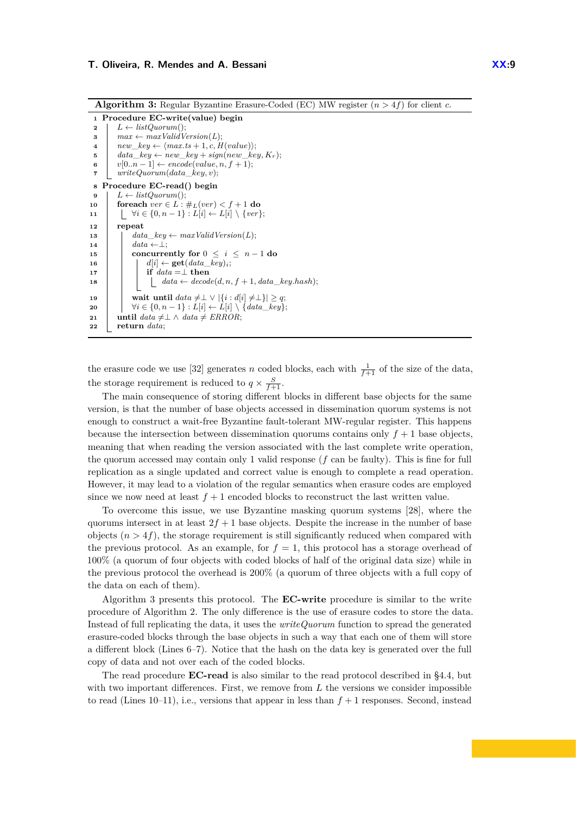**Algorithm 3:** Regular Byzantine Erasure-Coded (EC) MW register (*n >* 4*f*) for client *c*.

```
1 Procedure EC-write(value) begin
  2 L \leftarrow listQuorum();<br>3 max \leftarrow maxValidV3 max \leftarrow maxValidVersion(L);<br>4 new \leftarrow \langle max.ts + 1.c.H \rangle4 new\_key \leftarrow \langle max.ts + 1, c, H(value) \rangle;<br>
5 data\_key \leftarrow new\_key + sign(new\_ke)5 \begin{cases} \n\frac{data\_key \leftarrow new\_key + \text{sign}(new\_key, K_r);}{v[0..n-1] \leftarrow \text{encode}(value, n. f + 1).}\n\end{cases}6 v[0..n-1] \leftarrow encode(value, n, f + 1);<br>
7 writeQuorum(data \; key, v);7 writeQuorum(data_key, v);
  8 Procedure EC-read() begin
9 L \leftarrow listQuorum();<br>10 foreach ver \in L:
10 foreach ver \in L : \#_L(ver) < f + 1 do<br>
\forall i \in \{0, n-1\} : L[i] \leftarrow L[i] \setminus \{ver\}| \forall i \in \{0, n-1\} : L[i] \leftarrow L[i] \ \setminus \{ver\};12 repeat
13 d data\_key \leftarrow maxValidVersion(L);<br>14 d data \leftarrow 1:
\begin{array}{|c|c|c|}\n\hline\n & 14 & 5 & 0 \\
\hline\n\end{array} data \leftarrow \perp;
15 concurrently for 0 \leq i \leq n-1 do<br>16 d[i] \leftarrow \textbf{get}(data \; \textbf{ken})_i:
16 d[i] \leftarrow get(data\_key)i;<br>17 if data = 1 then
\begin{array}{|c|c|c|c|}\n \hline\n \textbf{18} & \textbf{if } data = \perp \textbf{then} \\
 \hline\n \textbf{18} & \textbf{data} \leftarrow \textit{decod} \n \end{array}\begin{aligned} \n\mid \quad data \leftarrow decode(d, n, f + 1, data\_key. hash); \n\end{aligned}19 wait until data \neq \bot \vee |\{i : d[i] \neq \bot\}| \geq q;<br>
\forall i \in \{0, n-1\} : L[i] \leftarrow L[i] \setminus \{data \; key\}20 \downarrow \forall i \in \{0, n-1\} : L[i] \leftarrow L[i] \setminus \{data\_key\};<br>21 until data \neq \cup \land data \neq ERROR:
21 until data \neq \perp \wedge data \neq ERROR;<br>22 return data:
                22 return data;
```
the erasure code we use [\[32\]](#page-15-19) generates *n* coded blocks, each with  $\frac{1}{f+1}$  of the size of the data, the storage requirement is reduced to  $q \times \frac{S}{f+1}$ .

The main consequence of storing different blocks in different base objects for the same version, is that the number of base objects accessed in dissemination quorum systems is not enough to construct a wait-free Byzantine fault-tolerant MW-regular register. This happens because the intersection between dissemination quorums contains only  $f + 1$  base objects, meaning that when reading the version associated with the last complete write operation, the quorum accessed may contain only 1 valid response (*f* can be faulty). This is fine for full replication as a single updated and correct value is enough to complete a read operation. However, it may lead to a violation of the regular semantics when erasure codes are employed since we now need at least  $f + 1$  encoded blocks to reconstruct the last written value.

To overcome this issue, we use Byzantine masking quorum systems [\[28\]](#page-15-5), where the quorums intersect in at least  $2f + 1$  base objects. Despite the increase in the number of base objects  $(n > 4f)$ , the storage requirement is still significantly reduced when compared with the previous protocol. As an example, for  $f = 1$ , this protocol has a storage overhead of 100% (a quorum of four objects with coded blocks of half of the original data size) while in the previous protocol the overhead is 200% (a quorum of three objects with a full copy of the data on each of them).

Algorithm [3](#page-8-0) presents this protocol. The **EC-write** procedure is similar to the write procedure of Algorithm [2.](#page-7-0) The only difference is the use of erasure codes to store the data. Instead of full replicating the data, it uses the *writeQuorum* function to spread the generated erasure-coded blocks through the base objects in such a way that each one of them will store a different block (Lines  $6-7$ ). Notice that the hash on the data key is generated over the full copy of data and not over each of the coded blocks.

The read procedure **EC-read** is also similar to the read protocol described in [§4.4,](#page-6-1) but with two important differences. First, we remove from  $L$  the versions we consider impossible to read (Lines 10–11), i.e., versions that appear in less than *f* + 1 responses. Second, instead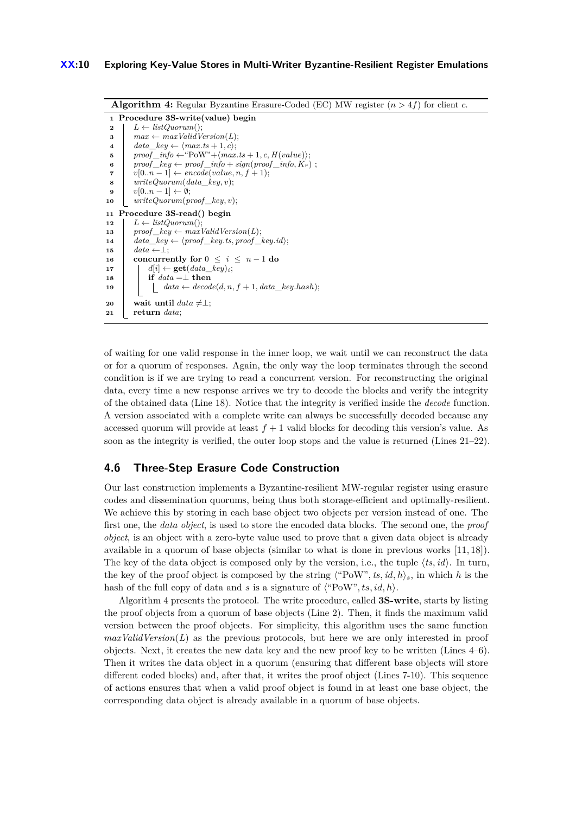```
Algorithm 4: Regular Byzantine Erasure-Coded (EC) MW register (n > 4f) for client c.
   1 Procedure 3S-write(value) begin
   2 L \leftarrow listQuorum();<br>
3 max \leftarrow maxValidV3 max \leftarrow maxValidVersion(L);<br>4 data \; kev \leftarrow \langle max.ts + 1, c \rangle;4 \begin{cases} \n\t\begin{array}{c} \n\frac{da \cdot b}{dt} & \text{if } \alpha \leq \text{max}. \text{ts} + 1, \text{c}; \\
\text{if } \alpha \leq \text{max} \leq \text{max} \leq \text{max} \end{array} \\
\text{and} \quad \frac{b}{dt} \leq \text{max} \leq \text{max} \leq \text{max} \leq \text{max} \leq \text{max} \end{cases}5 \begin{bmatrix} \text{proof} \text{info} \leftarrow \text{``Pow''} + \langle \text{max}. \text{ts} + 1, c, H(\text{value}) \rangle; \\ \text{proof} \text{ken} \leftarrow \text{proof} \text{info} + \text{sign}(\text{proof} \text{info}. \text{Kr}) \end{bmatrix}6 \begin{bmatrix} \text{proof\_key} \leftarrow \text{proof\_info} + \text{sign}(\text{proof\_info}, K_r) \end{bmatrix}<br>
7 v[0..n-1] \leftarrow \text{encode}(value, n, f + 1);7 v[0..n-1] \leftarrow encode(value, n, f+1);<br>8 writeDown(data, keu, v):8 writeQuorum(data_key, v);
9 v[0..n-1] \leftarrow \emptyset;<br>
10 writeQuorum(p)writeQuorum(proot \; key, v);11 Procedure 3S-read() begin
12 L \leftarrow listQuorum();<br>13 nroof key \leftarrow mar13 \left\{\n\begin{array}{c}\n\text{proof} \text{key} \leftarrow \text{maxValidVersion}(L); \\
\text{data} \text{key} \leftarrow \text{(proof} \text{key.ts, proof})\n\end{array}\n\right.14 data_key Ω Èproof _key.ts, proof _key.idÍ;
\begin{array}{|c|c|} \hline 15 & data \leftarrow \perp; \ \hline 16 & \textbf{concurve} \ \hline \end{array}16 concurrently for 0 \leq i \leq n-1 do<br>17 d d[i] \leftarrow \textbf{get}(data \; key)_i;
17 d[i] \leftarrow get(data\_key)i;<br>18 dif data = \perp then
\begin{array}{|c|c|c|c|}\n\hline\n\textbf{18} & \textbf{if } data = \perp \textbf{then} \\
\hline\n\textbf{19} & \textbf{data} \leftarrow decod \end{array}data \leftarrow decode(d, n, f + 1, data\_key.hash);\begin{array}{|c|c|}\n\hline\n\text{20} & \text{wait until } data \neq \perp;\n\hline\n\text{21} & \text{return } data: \hline\n\end{array}21 return data;
```
of waiting for one valid response in the inner loop, we wait until we can reconstruct the data or for a quorum of responses. Again, the only way the loop terminates through the second condition is if we are trying to read a concurrent version. For reconstructing the original data, every time a new response arrives we try to decode the blocks and verify the integrity of the obtained data (Line 18). Notice that the integrity is verified inside the *decode* function. A version associated with a complete write can always be successfully decoded because any accessed quorum will provide at least  $f + 1$  valid blocks for decoding this version's value. As soon as the integrity is verified, the outer loop stops and the value is returned (Lines 21–22).

## <span id="page-9-0"></span>**4.6 Three-Step Erasure Code Construction**

Our last construction implements a Byzantine-resilient MW-regular register using erasure codes and dissemination quorums, being thus both storage-efficient and optimally-resilient. We achieve this by storing in each base object two objects per version instead of one. The first one, the *data object*, is used to store the encoded data blocks. The second one, the *proof object*, is an object with a zero-byte value used to prove that a given data object is already available in a quorum of base objects (similar to what is done in previous works [\[11,](#page-15-13) [18\]](#page-15-2)). The key of the data object is composed only by the version, i.e., the tuple  $\langle ts, id \rangle$ . In turn, the key of the proof object is composed by the string  $\langle$ "PoW", *ts*, *id*, *h*)<sub>*s*</sub>, in which *h* is the hash of the full copy of data and *s* is a signature of  $\langle$ "PoW", ts, id, h $\rangle$ .

Algorithm [4](#page-9-1) presents the protocol. The write procedure, called **3S-write**, starts by listing the proof objects from a quorum of base objects (Line 2). Then, it finds the maximum valid version between the proof objects. For simplicity, this algorithm uses the same function *maxValidVersion*(*L*) as the previous protocols, but here we are only interested in proof objects. Next, it creates the new data key and the new proof key to be written (Lines 4–6). Then it writes the data object in a quorum (ensuring that different base objects will store different coded blocks) and, after that, it writes the proof object (Lines 7-10). This sequence of actions ensures that when a valid proof object is found in at least one base object, the corresponding data object is already available in a quorum of base objects.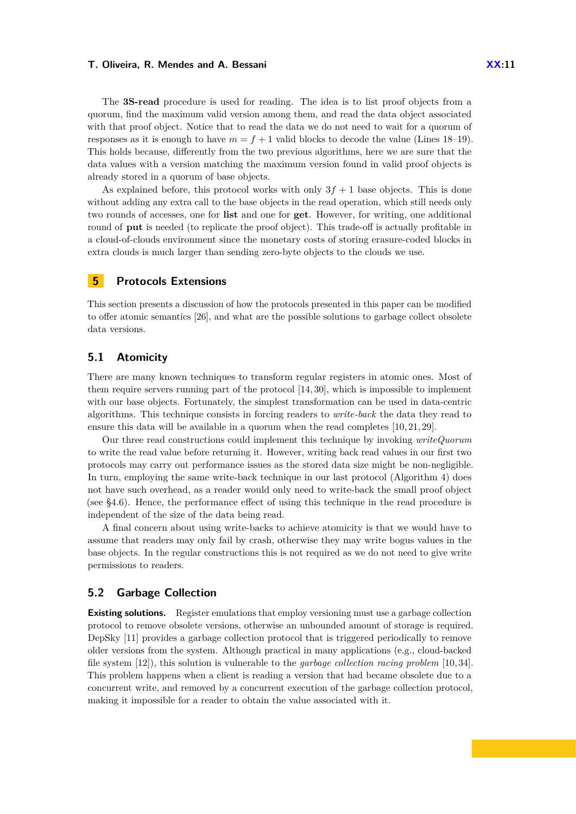The **3S-read** procedure is used for reading. The idea is to list proof objects from a quorum, find the maximum valid version among them, and read the data object associated with that proof object. Notice that to read the data we do not need to wait for a quorum of responses as it is enough to have  $m = f + 1$  valid blocks to decode the value (Lines 18–19). This holds because, differently from the two previous algorithms, here we are sure that the data values with a version matching the maximum version found in valid proof objects is already stored in a quorum of base objects.

As explained before, this protocol works with only  $3f + 1$  base objects. This is done without adding any extra call to the base objects in the read operation, which still needs only two rounds of accesses, one for **list** and one for **get**. However, for writing, one additional round of **put** is needed (to replicate the proof object). This trade-off is actually profitable in a cloud-of-clouds environment since the monetary costs of storing erasure-coded blocks in extra clouds is much larger than sending zero-byte objects to the clouds we use.

## **5 Protocols Extensions**

This section presents a discussion of how the protocols presented in this paper can be modified to offer atomic semantics  $[26]$ , and what are the possible solutions to garbage collect obsolete data versions.

# **5.1 Atomicity**

There are many known techniques to transform regular registers in atomic ones. Most of them require servers running part of the protocol [\[14,](#page-15-1) [30\]](#page-15-6), which is impossible to implement with our base objects. Fortunately, the simplest transformation can be used in data-centric algorithms. This technique consists in forcing readers to *write-back* the data they read to ensure this data will be available in a quorum when the read completes [\[10,](#page-15-16) [21,](#page-15-3) [29\]](#page-15-24).

Our three read constructions could implement this technique by invoking *writeQuorum* to write the read value before returning it. However, writing back read values in our first two protocols may carry out performance issues as the stored data size might be non-negligible. In turn, employing the same write-back technique in our last protocol (Algorithm [4\)](#page-9-1) does not have such overhead, as a reader would only need to write-back the small proof object (see  $§4.6$ ). Hence, the performance effect of using this technique in the read procedure is independent of the size of the data being read.

A final concern about using write-backs to achieve atomicity is that we would have to assume that readers may only fail by crash, otherwise they may write bogus values in the base objects. In the regular constructions this is not required as we do not need to give write permissions to readers.

## <span id="page-10-0"></span>**5.2 Garbage Collection**

**Existing solutions.** Register emulations that employ versioning must use a garbage collection protocol to remove obsolete versions, otherwise an unbounded amount of storage is required. DepSky [\[11\]](#page-15-13) provides a garbage collection protocol that is triggered periodically to remove older versions from the system. Although practical in many applications (e.g., cloud-backed file system [\[12\]](#page-15-25)), this solution is vulnerable to the *garbage collection racing problem* [\[10,](#page-15-16) [34\]](#page-15-7). This problem happens when a client is reading a version that had became obsolete due to a concurrent write, and removed by a concurrent execution of the garbage collection protocol, making it impossible for a reader to obtain the value associated with it.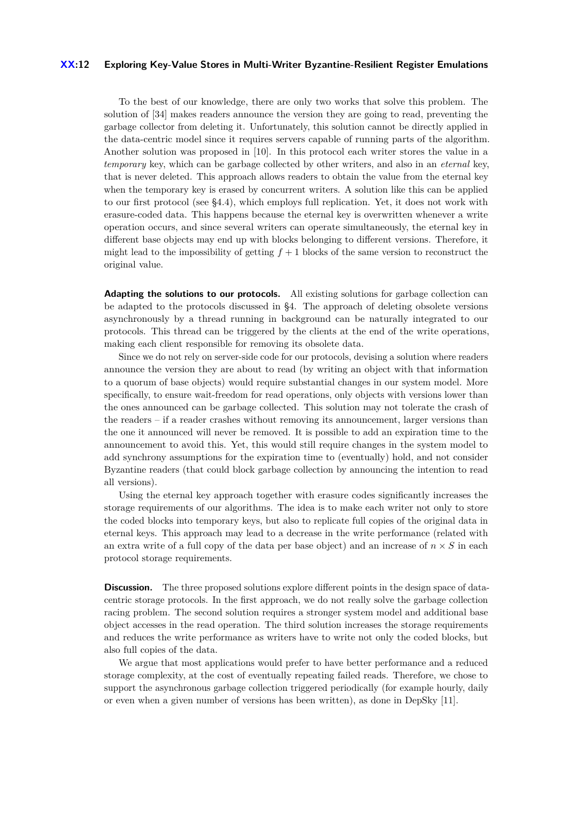#### **XX:12 Exploring Key-Value Stores in Multi-Writer Byzantine-Resilient Register Emulations**

To the best of our knowledge, there are only two works that solve this problem. The solution of [\[34\]](#page-15-7) makes readers announce the version they are going to read, preventing the garbage collector from deleting it. Unfortunately, this solution cannot be directly applied in the data-centric model since it requires servers capable of running parts of the algorithm. Another solution was proposed in [\[10\]](#page-15-16). In this protocol each writer stores the value in a *temporary* key, which can be garbage collected by other writers, and also in an *eternal* key, that is never deleted. This approach allows readers to obtain the value from the eternal key when the temporary key is erased by concurrent writers. A solution like this can be applied to our first protocol (see [§4.4\)](#page-6-1), which employs full replication. Yet, it does not work with erasure-coded data. This happens because the eternal key is overwritten whenever a write operation occurs, and since several writers can operate simultaneously, the eternal key in different base objects may end up with blocks belonging to different versions. Therefore, it might lead to the impossibility of getting  $f + 1$  blocks of the same version to reconstruct the original value.

**Adapting the solutions to our protocols.** All existing solutions for garbage collection can be adapted to the protocols discussed in [§4.](#page-4-2) The approach of deleting obsolete versions asynchronously by a thread running in background can be naturally integrated to our protocols. This thread can be triggered by the clients at the end of the write operations, making each client responsible for removing its obsolete data.

Since we do not rely on server-side code for our protocols, devising a solution where readers announce the version they are about to read (by writing an object with that information to a quorum of base objects) would require substantial changes in our system model. More specifically, to ensure wait-freedom for read operations, only objects with versions lower than the ones announced can be garbage collected. This solution may not tolerate the crash of the readers – if a reader crashes without removing its announcement, larger versions than the one it announced will never be removed. It is possible to add an expiration time to the announcement to avoid this. Yet, this would still require changes in the system model to add synchrony assumptions for the expiration time to (eventually) hold, and not consider Byzantine readers (that could block garbage collection by announcing the intention to read all versions).

Using the eternal key approach together with erasure codes significantly increases the storage requirements of our algorithms. The idea is to make each writer not only to store the coded blocks into temporary keys, but also to replicate full copies of the original data in eternal keys. This approach may lead to a decrease in the write performance (related with an extra write of a full copy of the data per base object) and an increase of  $n \times S$  in each protocol storage requirements.

**Discussion.** The three proposed solutions explore different points in the design space of datacentric storage protocols. In the first approach, we do not really solve the garbage collection racing problem. The second solution requires a stronger system model and additional base object accesses in the read operation. The third solution increases the storage requirements and reduces the write performance as writers have to write not only the coded blocks, but also full copies of the data.

We argue that most applications would prefer to have better performance and a reduced storage complexity, at the cost of eventually repeating failed reads. Therefore, we chose to support the asynchronous garbage collection triggered periodically (for example hourly, daily or even when a given number of versions has been written), as done in DepSky [\[11\]](#page-15-13).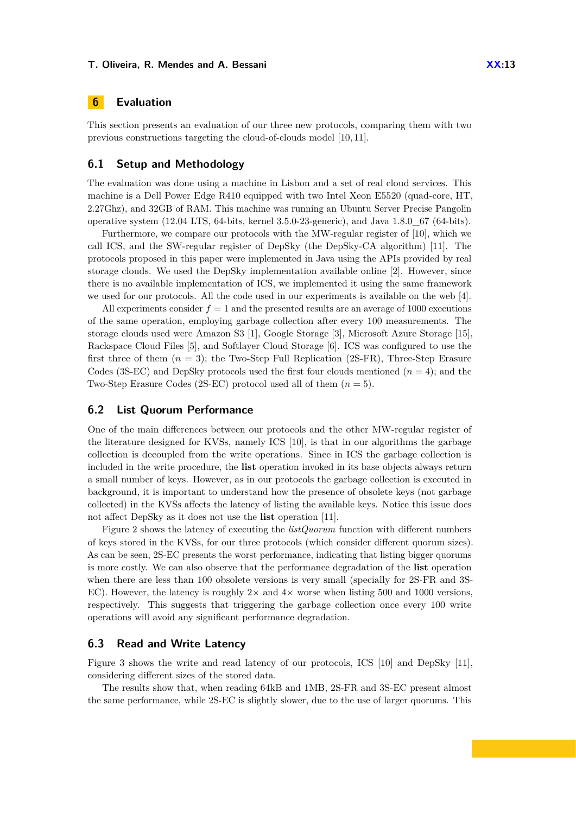# **6 Evaluation**

This section presents an evaluation of our three new protocols, comparing them with two previous constructions targeting the cloud-of-clouds model [\[10,](#page-15-16) [11\]](#page-15-13).

## **6.1 Setup and Methodology**

The evaluation was done using a machine in Lisbon and a set of real cloud services. This machine is a Dell Power Edge R410 equipped with two Intel Xeon E5520 (quad-core, HT, 2.27Ghz), and 32GB of RAM. This machine was running an Ubuntu Server Precise Pangolin operative system (12.04 LTS, 64-bits, kernel 3.5.0-23-generic), and Java 1.8.0\_67 (64-bits).

Furthermore, we compare our protocols with the MW-regular register of [\[10\]](#page-15-16), which we call ICS, and the SW-regular register of DepSky (the DepSky-CA algorithm) [\[11\]](#page-15-13). The protocols proposed in this paper were implemented in Java using the APIs provided by real storage clouds. We used the DepSky implementation available online [\[2\]](#page-14-6). However, since there is no available implementation of ICS, we implemented it using the same framework we used for our protocols. All the code used in our experiments is available on the web [\[4\]](#page-14-7).

All experiments consider  $f = 1$  and the presented results are an average of 1000 executions of the same operation, employing garbage collection after every 100 measurements. The storage clouds used were Amazon S3 [\[1\]](#page-14-2), Google Storage [\[3\]](#page-14-4), Microsoft Azure Storage [\[15\]](#page-15-20), Rackspace Cloud Files [\[5\]](#page-14-3), and Softlayer Cloud Storage [\[6\]](#page-14-5). ICS was configured to use the first three of them  $(n = 3)$ ; the Two-Step Full Replication  $(2S-FR)$ , Three-Step Erasure Codes (3S-EC) and DepSky protocols used the first four clouds mentioned  $(n = 4)$ ; and the Two-Step Erasure Codes (2S-EC) protocol used all of them (*n* = 5).

### **6.2 List Quorum Performance**

One of the main differences between our protocols and the other MW-regular register of the literature designed for KVSs, namely ICS [\[10\]](#page-15-16), is that in our algorithms the garbage collection is decoupled from the write operations. Since in ICS the garbage collection is included in the write procedure, the **list** operation invoked in its base objects always return a small number of keys. However, as in our protocols the garbage collection is executed in background, it is important to understand how the presence of obsolete keys (not garbage collected) in the KVSs affects the latency of listing the available keys. Notice this issue does not affect DepSky as it does not use the **list** operation [\[11\]](#page-15-13).

Figure [2](#page-13-0) shows the latency of executing the *listQuorum* function with different numbers of keys stored in the KVSs, for our three protocols (which consider different quorum sizes). As can be seen, 2S-EC presents the worst performance, indicating that listing bigger quorums is more costly. We can also observe that the performance degradation of the **list** operation when there are less than 100 obsolete versions is very small (specially for 2S-FR and 3S-EC). However, the latency is roughly  $2\times$  and  $4\times$  worse when listing 500 and 1000 versions, respectively. This suggests that triggering the garbage collection once every 100 write operations will avoid any significant performance degradation.

### **6.3 Read and Write Latency**

Figure [3](#page-13-1) shows the write and read latency of our protocols, ICS [\[10\]](#page-15-16) and DepSky [\[11\]](#page-15-13), considering different sizes of the stored data.

The results show that, when reading 64kB and 1MB, 2S-FR and 3S-EC present almost the same performance, while 2S-EC is slightly slower, due to the use of larger quorums. This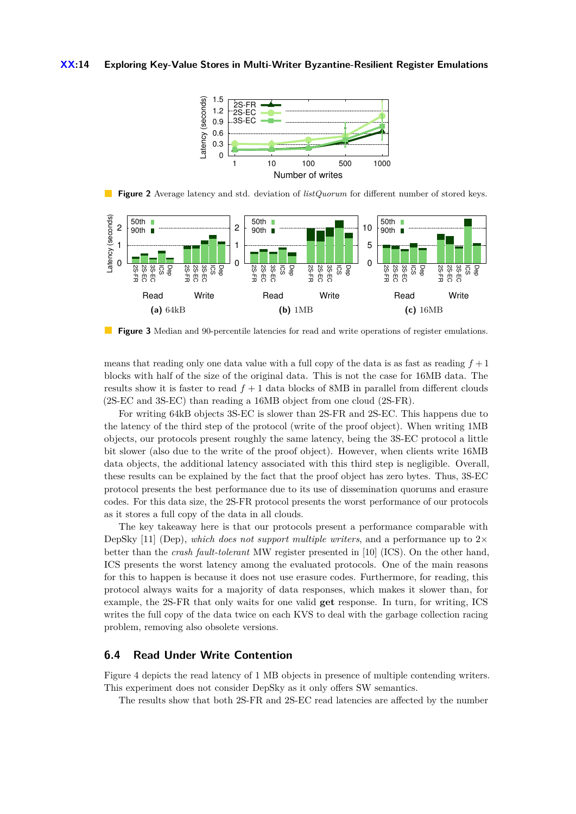#### <span id="page-13-0"></span>**XX:14 Exploring Key-Value Stores in Multi-Writer Byzantine-Resilient Register Emulations**



 $\mathbb{R}^3$ **Figure 2** Average latency and std. deviation of *listQuorum* for different number of stored keys.

<span id="page-13-1"></span>

**Figure 3** Median and 90-percentile latencies for read and write operations of register emulations.

means that reading only one data value with a full copy of the data is as fast as reading  $f + 1$ blocks with half of the size of the original data. This is not the case for 16MB data. The results show it is faster to read  $f + 1$  data blocks of 8MB in parallel from different clouds (2S-EC and 3S-EC) than reading a 16MB object from one cloud (2S-FR).

For writing 64kB objects 3S-EC is slower than 2S-FR and 2S-EC. This happens due to the latency of the third step of the protocol (write of the proof object). When writing 1MB objects, our protocols present roughly the same latency, being the 3S-EC protocol a little bit slower (also due to the write of the proof object). However, when clients write 16MB data objects, the additional latency associated with this third step is negligible. Overall, these results can be explained by the fact that the proof object has zero bytes. Thus, 3S-EC protocol presents the best performance due to its use of dissemination quorums and erasure codes. For this data size, the 2S-FR protocol presents the worst performance of our protocols as it stores a full copy of the data in all clouds.

The key takeaway here is that our protocols present a performance comparable with DepSky [\[11\]](#page-15-13) (Dep), *which does not support multiple writers*, and a performance up to  $2\times$ better than the *crash fault-tolerant* MW register presented in [\[10\]](#page-15-16) (ICS). On the other hand, ICS presents the worst latency among the evaluated protocols. One of the main reasons for this to happen is because it does not use erasure codes. Furthermore, for reading, this protocol always waits for a majority of data responses, which makes it slower than, for example, the 2S-FR that only waits for one valid **get** response. In turn, for writing, ICS writes the full copy of the data twice on each KVS to deal with the garbage collection racing problem, removing also obsolete versions.

# **6.4 Read Under Write Contention**

Figure [4](#page-14-8) depicts the read latency of 1 MB objects in presence of multiple contending writers. This experiment does not consider DepSky as it only offers SW semantics.

The results show that both 2S-FR and 2S-EC read latencies are affected by the number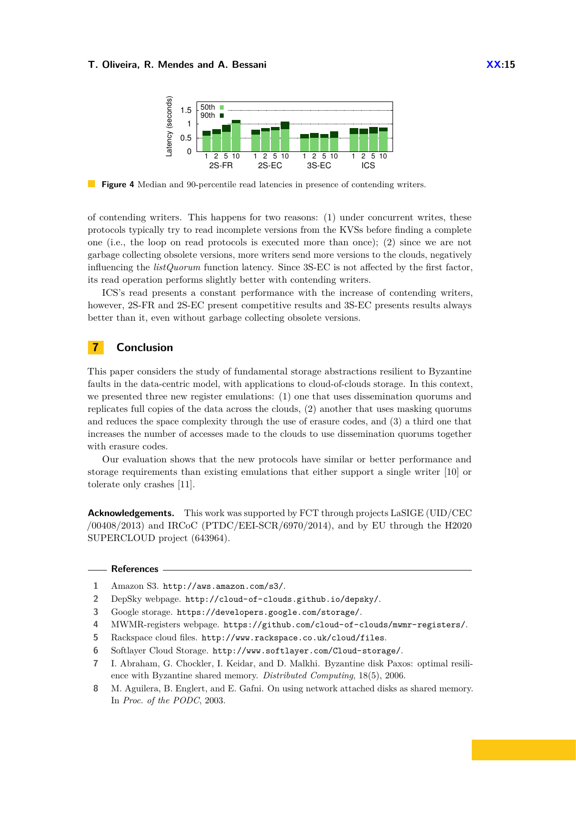<span id="page-14-8"></span>

**Figure 4** Median and 90-percentile read latencies in presence of contending writers.

of contending writers. This happens for two reasons: (1) under concurrent writes, these protocols typically try to read incomplete versions from the KVSs before finding a complete one (i.e., the loop on read protocols is executed more than once); (2) since we are not garbage collecting obsolete versions, more writers send more versions to the clouds, negatively influencing the  $listQuorum$  function latency. Since  $3S\text{-EC}$  is not affected by the first factor, its read operation performs slightly better with contending writers.

ICS's read presents a constant performance with the increase of contending writers, however, 2S-FR and 2S-EC present competitive results and 3S-EC presents results always better than it, even without garbage collecting obsolete versions.

# **7 Conclusion**

This paper considers the study of fundamental storage abstractions resilient to Byzantine faults in the data-centric model, with applications to cloud-of-clouds storage. In this context, we presented three new register emulations: (1) one that uses dissemination quorums and replicates full copies of the data across the clouds, (2) another that uses masking quorums and reduces the space complexity through the use of erasure codes, and (3) a third one that increases the number of accesses made to the clouds to use dissemination quorums together with erasure codes.

Our evaluation shows that the new protocols have similar or better performance and storage requirements than existing emulations that either support a single writer [\[10\]](#page-15-16) or tolerate only crashes [\[11\]](#page-15-13).

**Acknowledgements.** This work was supported by FCT through projects LaSIGE (UID/CEC /00408/2013) and IRCoC (PTDC/EEI-SCR/6970/2014), and by EU through the H2020 SUPERCLOUD project (643964).

#### **References**

- <span id="page-14-2"></span>**1** Amazon S3. <http://aws.amazon.com/s3/>.
- <span id="page-14-6"></span>**2** DepSky webpage. <http://cloud-of-clouds.github.io/depsky/>.
- <span id="page-14-4"></span>**3** Google storage. <https://developers.google.com/storage/>.
- <span id="page-14-7"></span>**4** MWMR-registers webpage. <https://github.com/cloud-of-clouds/mwmr-registers/>.
- <span id="page-14-3"></span>**5** Rackspace cloud files. <http://www.rackspace.co.uk/cloud/files>.
- <span id="page-14-5"></span>**6** Softlayer Cloud Storage. <http://www.softlayer.com/Cloud-storage/>.
- <span id="page-14-1"></span>**7** I. Abraham, G. Chockler, I. Keidar, and D. Malkhi. Byzantine disk Paxos: optimal resilience with Byzantine shared memory. *Distributed Computing*, 18(5), 2006.
- <span id="page-14-0"></span>**8** M. Aguilera, B. Englert, and E. Gafni. On using network attached disks as shared memory. In *Proc. of the PODC*, 2003.